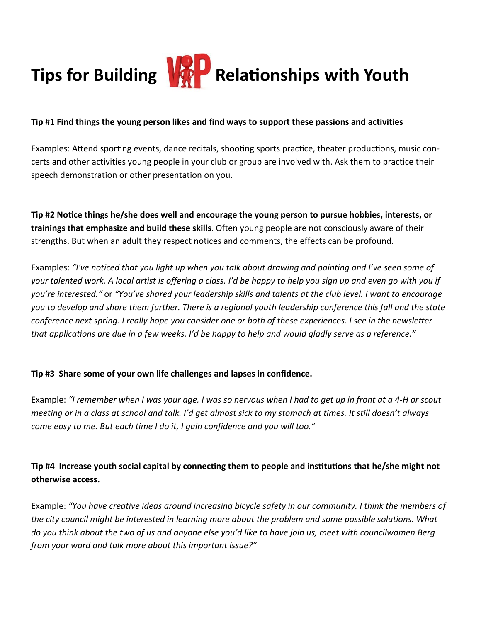

#### **Tip** #**1 Find things the young person likes and find ways to support these passions and activities**

Examples: Attend sporting events, dance recitals, shooting sports practice, theater productions, music concerts and other activities young people in your club or group are involved with. Ask them to practice their speech demonstration or other presentation on you.

**Tip #2 Notice things he/she does well and encourage the young person to pursue hobbies, interests, or trainings that emphasize and build these skills**. Often young people are not consciously aware of their strengths. But when an adult they respect notices and comments, the effects can be profound.

Examples: *"I've noticed that you light up when you talk about drawing and painting and I've seen some of your talented work. A local artist is offering a class. I'd be happy to help you sign up and even go with you if you're interested."* or *"You've shared your leadership skills and talents at the club level. I want to encourage you to develop and share them further. There is a regional youth leadership conference this fall and the state conference next spring. I really hope you consider one or both of these experiences. I see in the newsletter that applications are due in a few weeks. I'd be happy to help and would gladly serve as a reference."*

### **Tip #3 Share some of your own life challenges and lapses in confidence.**

Example: *"I remember when I was your age, I was so nervous when I had to get up in front at a 4-H or scout meeting or in a class at school and talk. I'd get almost sick to my stomach at times. It still doesn't always come easy to me. But each time I do it, I gain confidence and you will too."*

## **Tip #4 Increase youth social capital by connecting them to people and institutions that he/she might not otherwise access.**

Example: *"You have creative ideas around increasing bicycle safety in our community. I think the members of the city council might be interested in learning more about the problem and some possible solutions. What do you think about the two of us and anyone else you'd like to have join us, meet with councilwomen Berg from your ward and talk more about this important issue?"*